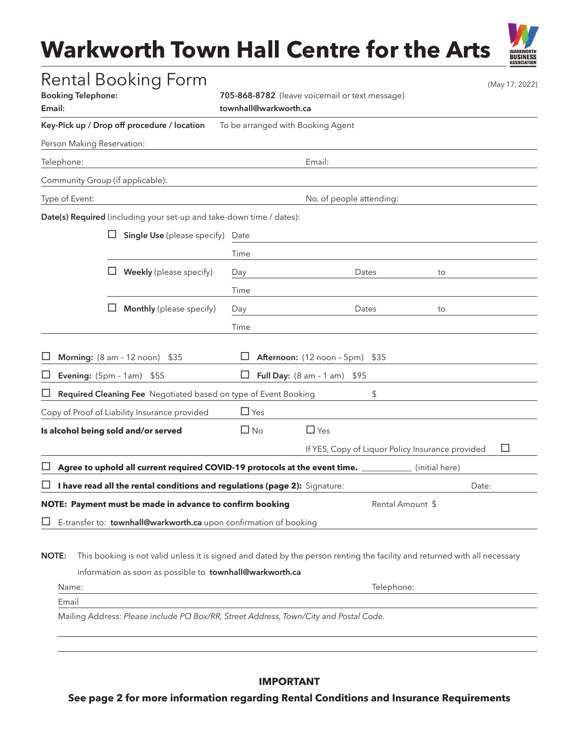# **Warkworth Town Hall Centre for the Arts**

**BUSINESS** 

| <b>Rental Booking Form</b><br><b>Booking Telephone:</b><br>Email:                                                                                                                                               | 705-868-8782 (leave voicemail or text message)<br>townhall@warkworth.ca |                                 |                  |                                                  | (May 17, 2022) |  |
|-----------------------------------------------------------------------------------------------------------------------------------------------------------------------------------------------------------------|-------------------------------------------------------------------------|---------------------------------|------------------|--------------------------------------------------|----------------|--|
| Key-Pick up / Drop off procedure / location                                                                                                                                                                     | To be arranged with Booking Agent                                       |                                 |                  |                                                  |                |  |
| Person Making Reservation:                                                                                                                                                                                      |                                                                         |                                 |                  |                                                  |                |  |
| Telephone:                                                                                                                                                                                                      | Email:                                                                  |                                 |                  |                                                  |                |  |
| Community Group (if applicable):                                                                                                                                                                                |                                                                         |                                 |                  |                                                  |                |  |
| Type of Event:                                                                                                                                                                                                  | No. of people attending:                                                |                                 |                  |                                                  |                |  |
| Date(s) Required (including your set-up and take-down time / dates):                                                                                                                                            |                                                                         |                                 |                  |                                                  |                |  |
| <b>Single Use</b> (please specify)                                                                                                                                                                              | Date                                                                    |                                 |                  |                                                  |                |  |
|                                                                                                                                                                                                                 | Time                                                                    |                                 |                  |                                                  |                |  |
| Weekly (please specify)                                                                                                                                                                                         | Day                                                                     |                                 | Dates            | to                                               |                |  |
|                                                                                                                                                                                                                 | Time                                                                    |                                 |                  |                                                  |                |  |
| Monthly (please specify)                                                                                                                                                                                        | Day                                                                     |                                 | Dates            | to                                               |                |  |
|                                                                                                                                                                                                                 | Time                                                                    |                                 |                  |                                                  |                |  |
| Morning: (8 am - 12 noon) \$35                                                                                                                                                                                  |                                                                         | Afternoon: (12 noon - 5pm) \$35 |                  |                                                  |                |  |
| Evening: (5pm - 1am)<br>\$55                                                                                                                                                                                    |                                                                         | Full Day: $(8 am - 1 am)$       | \$95             |                                                  |                |  |
| Required Cleaning Fee Negotiated based on type of Event Booking                                                                                                                                                 |                                                                         |                                 | \$               |                                                  |                |  |
| Copy of Proof of Liability Insurance provided                                                                                                                                                                   | $\Box$ Yes                                                              |                                 |                  |                                                  |                |  |
| Is alcohol being sold and/or served                                                                                                                                                                             | $\Box$ No                                                               | $\Box$ Yes                      |                  |                                                  |                |  |
|                                                                                                                                                                                                                 |                                                                         |                                 |                  | If YES, Copy of Liquor Policy Insurance provided | ப              |  |
| Agree to uphold all current required COVID-19 protocols at the event time.                                                                                                                                      |                                                                         |                                 |                  | (initial here)                                   |                |  |
| I have read all the rental conditions and regulations (page 2): Signature:                                                                                                                                      |                                                                         |                                 |                  |                                                  | Date:          |  |
| NOTE: Payment must be made in advance to confirm booking                                                                                                                                                        |                                                                         |                                 | Rental Amount \$ |                                                  |                |  |
| E-transfer to: townhall@warkworth.ca upon confirmation of booking                                                                                                                                               |                                                                         |                                 |                  |                                                  |                |  |
| This booking is not valid unless it is signed and dated by the person renting the facility and returned with all necessary<br><b>NOTE:</b><br>information as soon as possible to townhall@warkworth.ca<br>Name: |                                                                         |                                 | Telephone:       |                                                  |                |  |

Mailing Address: *Please include PO Box/RR, Street Address, Town/City and Postal Code.*

Email

# **IMPORTANT**

**See page 2 for more information regarding Rental Conditions and Insurance Requirements**